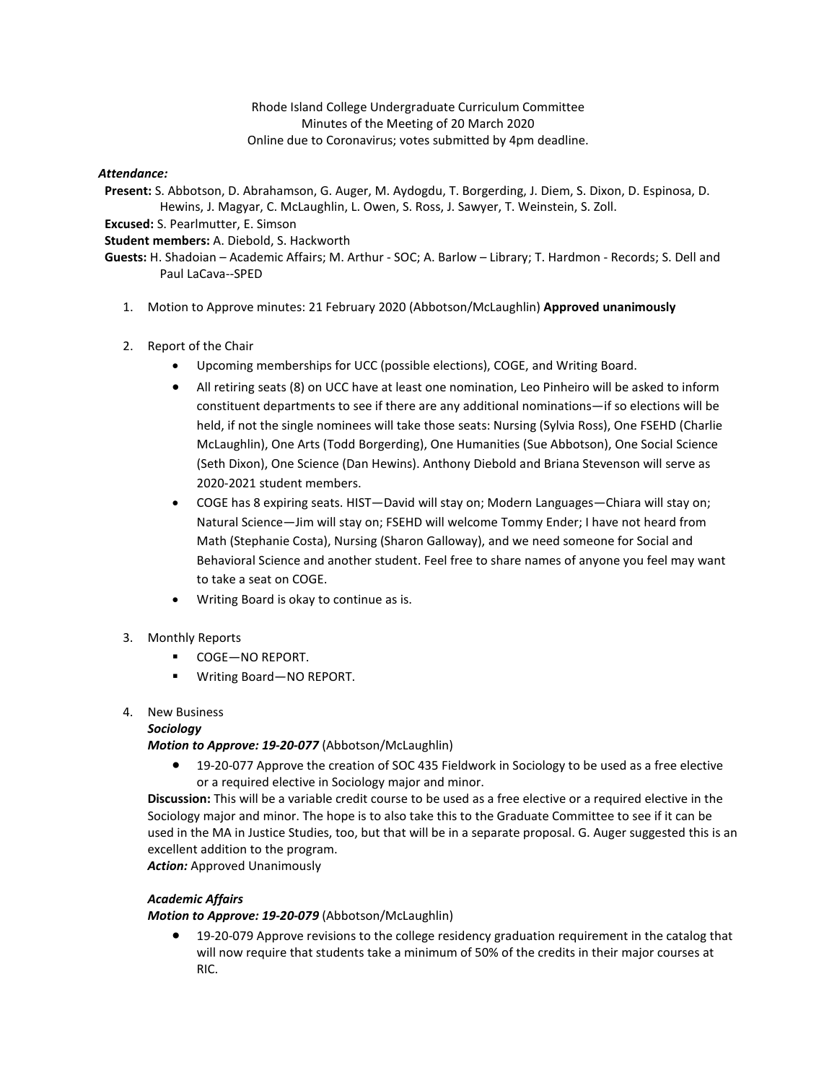# Rhode Island College Undergraduate Curriculum Committee Minutes of the Meeting of 20 March 2020 Online due to Coronavirus; votes submitted by 4pm deadline.

# *Attendance:*

**Present:** S. Abbotson, D. Abrahamson, G. Auger, M. Aydogdu, T. Borgerding, J. Diem, S. Dixon, D. Espinosa, D. Hewins, J. Magyar, C. McLaughlin, L. Owen, S. Ross, J. Sawyer, T. Weinstein, S. Zoll.

**Excused:** S. Pearlmutter, E. Simson

**Student members:** A. Diebold, S. Hackworth

**Guests:** H. Shadoian – Academic Affairs; M. Arthur - SOC; A. Barlow – Library; T. Hardmon - Records; S. Dell and Paul LaCava--SPED

- 1. Motion to Approve minutes: 21 February 2020 (Abbotson/McLaughlin) **Approved unanimously**
- 2. Report of the Chair
	- Upcoming memberships for UCC (possible elections), COGE, and Writing Board.
	- All retiring seats (8) on UCC have at least one nomination, Leo Pinheiro will be asked to inform constituent departments to see if there are any additional nominations—if so elections will be held, if not the single nominees will take those seats: Nursing (Sylvia Ross), One FSEHD (Charlie McLaughlin), One Arts (Todd Borgerding), One Humanities (Sue Abbotson), One Social Science (Seth Dixon), One Science (Dan Hewins). Anthony Diebold and Briana Stevenson will serve as 2020-2021 student members.
	- COGE has 8 expiring seats. HIST—David will stay on; Modern Languages—Chiara will stay on; Natural Science—Jim will stay on; FSEHD will welcome Tommy Ender; I have not heard from Math (Stephanie Costa), Nursing (Sharon Galloway), and we need someone for Social and Behavioral Science and another student. Feel free to share names of anyone you feel may want to take a seat on COGE.
	- Writing Board is okay to continue as is.
- 3. Monthly Reports
	- COGE—NO REPORT.
	- Writing Board—NO REPORT.

# 4. New Business

# *Sociology*

*Motion to Approve: 19-20-077* (Abbotson/McLaughlin)

• 19-20-077 Approve the creation of SOC 435 Fieldwork in Sociology to be used as a free elective or a required elective in Sociology major and minor.

**Discussion:** This will be a variable credit course to be used as a free elective or a required elective in the Sociology major and minor. The hope is to also take this to the Graduate Committee to see if it can be used in the MA in Justice Studies, too, but that will be in a separate proposal. G. Auger suggested this is an excellent addition to the program.

*Action:* Approved Unanimously

# *Academic Affairs*

*Motion to Approve: 19-20-079* (Abbotson/McLaughlin)

• 19-20-079 Approve revisions to the college residency graduation requirement in the catalog that will now require that students take a minimum of 50% of the credits in their major courses at RIC.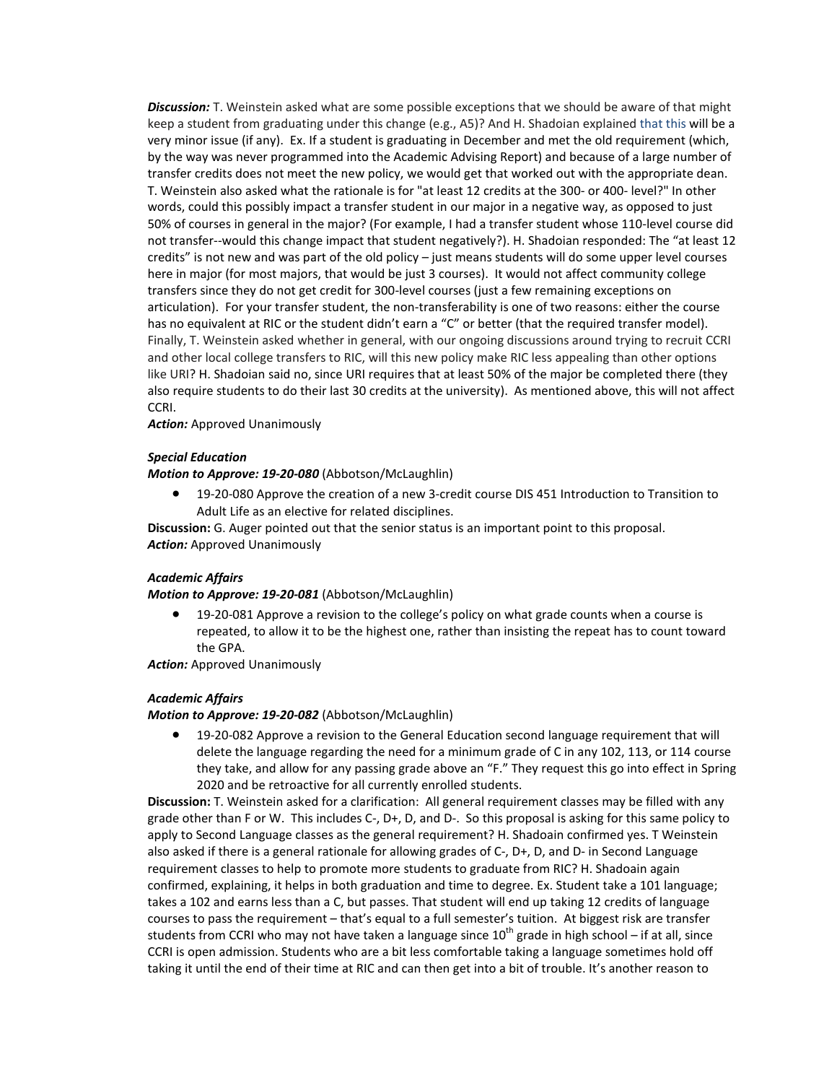*Discussion:* T. Weinstein asked what are some possible exceptions that we should be aware of that might keep a student from graduating under this change (e.g., A5)? And H. Shadoian explained that this will be a very minor issue (if any). Ex. If a student is graduating in December and met the old requirement (which, by the way was never programmed into the Academic Advising Report) and because of a large number of transfer credits does not meet the new policy, we would get that worked out with the appropriate dean. T. Weinstein also asked what the rationale is for "at least 12 credits at the 300- or 400- level?" In other words, could this possibly impact a transfer student in our major in a negative way, as opposed to just 50% of courses in general in the major? (For example, I had a transfer student whose 110-level course did not transfer--would this change impact that student negatively?). H. Shadoian responded: The "at least 12 credits" is not new and was part of the old policy – just means students will do some upper level courses here in major (for most majors, that would be just 3 courses). It would not affect community college transfers since they do not get credit for 300-level courses (just a few remaining exceptions on articulation). For your transfer student, the non-transferability is one of two reasons: either the course has no equivalent at RIC or the student didn't earn a "C" or better (that the required transfer model). Finally, T. Weinstein asked whether in general, with our ongoing discussions around trying to recruit CCRI and other local college transfers to RIC, will this new policy make RIC less appealing than other options like URI? H. Shadoian said no, since URI requires that at least 50% of the major be completed there (they also require students to do their last 30 credits at the university). As mentioned above, this will not affect CCRI.

 *Action:* Approved Unanimously

#### *Special Education*

*Motion to Approve: 19-20-080* (Abbotson/McLaughlin)

• 19-20-080 Approve the creation of a new 3-credit course DIS 451 Introduction to Transition to Adult Life as an elective for related disciplines.

**Discussion:** G. Auger pointed out that the senior status is an important point to this proposal. *Action:* Approved Unanimously

#### *Academic Affairs*

*Motion to Approve: 19-20-081* (Abbotson/McLaughlin)

• 19-20-081 Approve a revision to the college's policy on what grade counts when a course is repeated, to allow it to be the highest one, rather than insisting the repeat has to count toward the GPA.

 *Action:* Approved Unanimously

#### *Academic Affairs*

*Motion to Approve: 19-20-082* (Abbotson/McLaughlin)

• 19-20-082 Approve a revision to the General Education second language requirement that will delete the language regarding the need for a minimum grade of C in any 102, 113, or 114 course they take, and allow for any passing grade above an "F." They request this go into effect in Spring 2020 and be retroactive for all currently enrolled students.

**Discussion:** T. Weinstein asked for a clarification: All general requirement classes may be filled with any grade other than F or W. This includes C-, D+, D, and D-. So this proposal is asking for this same policy to apply to Second Language classes as the general requirement? H. Shadoain confirmed yes. T Weinstein also asked if there is a general rationale for allowing grades of C-, D+, D, and D- in Second Language requirement classes to help to promote more students to graduate from RIC? H. Shadoain again confirmed, explaining, it helps in both graduation and time to degree. Ex. Student take a 101 language; takes a 102 and earns less than a C, but passes. That student will end up taking 12 credits of language courses to pass the requirement – that's equal to a full semester's tuition. At biggest risk are transfer students from CCRI who may not have taken a language since 10<sup>th</sup> grade in high school – if at all, since CCRI is open admission. Students who are a bit less comfortable taking a language sometimes hold off taking it until the end of their time at RIC and can then get into a bit of trouble. It's another reason to